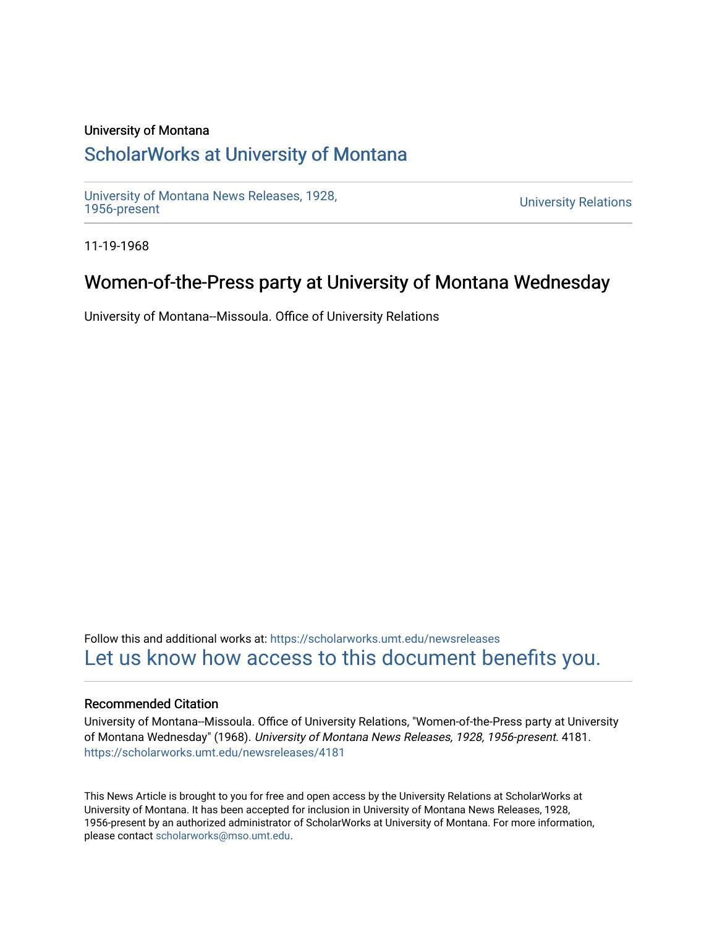### University of Montana

## [ScholarWorks at University of Montana](https://scholarworks.umt.edu/)

[University of Montana News Releases, 1928,](https://scholarworks.umt.edu/newsreleases) 

**University Relations** 

11-19-1968

## Women-of-the-Press party at University of Montana Wednesday

University of Montana--Missoula. Office of University Relations

Follow this and additional works at: [https://scholarworks.umt.edu/newsreleases](https://scholarworks.umt.edu/newsreleases?utm_source=scholarworks.umt.edu%2Fnewsreleases%2F4181&utm_medium=PDF&utm_campaign=PDFCoverPages) [Let us know how access to this document benefits you.](https://goo.gl/forms/s2rGfXOLzz71qgsB2) 

#### Recommended Citation

University of Montana--Missoula. Office of University Relations, "Women-of-the-Press party at University of Montana Wednesday" (1968). University of Montana News Releases, 1928, 1956-present. 4181. [https://scholarworks.umt.edu/newsreleases/4181](https://scholarworks.umt.edu/newsreleases/4181?utm_source=scholarworks.umt.edu%2Fnewsreleases%2F4181&utm_medium=PDF&utm_campaign=PDFCoverPages) 

This News Article is brought to you for free and open access by the University Relations at ScholarWorks at University of Montana. It has been accepted for inclusion in University of Montana News Releases, 1928, 1956-present by an authorized administrator of ScholarWorks at University of Montana. For more information, please contact [scholarworks@mso.umt.edu.](mailto:scholarworks@mso.umt.edu)